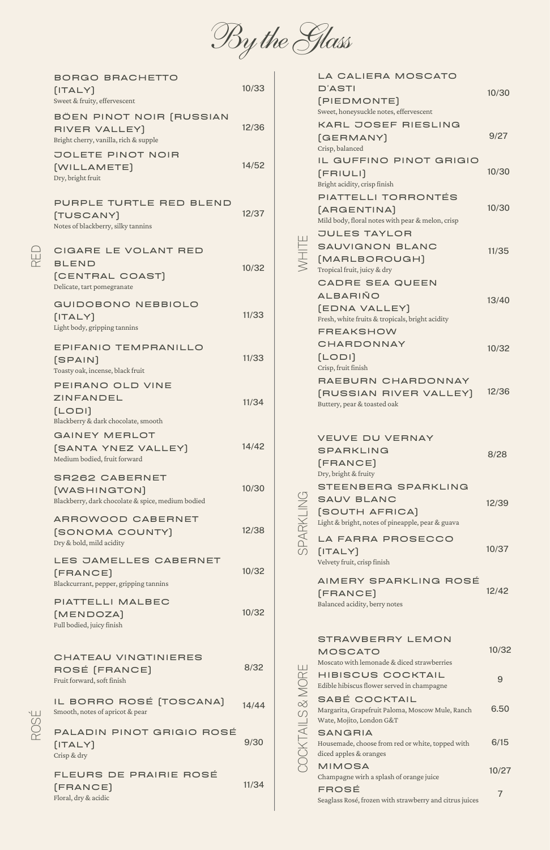| <b>BORGO BRACHETTO</b><br>[ITALY]<br>Sweet & fruity, effervescent                          | 10/33 |
|--------------------------------------------------------------------------------------------|-------|
| BÖEN PINOT NOIR (RUSSIAN<br>RIVER VALLEY)<br>Bright cherry, vanilla, rich & supple         | 12/36 |
| <b>JOLETE PINOT NOIR</b><br>[WILLAMETE]<br>Dry, bright fruit                               | 14/52 |
| PURPLE TURTLE RED BLEND<br>[TUSCANY]<br>Notes of blackberry, silky tannins                 | 12/37 |
| CIGARE LE VOLANT RED<br><b>BLEND</b><br>[CENTRAL COAST]<br>Delicate, tart pomegranate      | 10/32 |
| <b>GUIDOBONO NEBBIOLO</b><br>[ITALY]<br>Light body, gripping tannins                       | 11/33 |
| EPIFANIO TEMPRANILLO<br>[SPAIN]<br>Toasty oak, incense, black fruit                        | 11/33 |
| PEIRANO OLD VINE<br><b>ZINFANDEL</b><br>[LODI]<br>Blackberry & dark chocolate, smooth      | 11/34 |
| <b>GAINEY MERLOT</b><br>[SANTA YNEZ VALLEY]<br>Medium bodied, fruit forward                | 14/42 |
| <b>SR262 CABERNET</b><br>[WASHINGTON]<br>Blackberry, dark chocolate & spice, medium bodied | 10/30 |
| ARROWOOD CABERNET<br>[SONOMA COUNTY]<br>Dry & bold, mild acidity                           | 12/38 |
| LES JAMELLES CABERNET<br>[FRANCE]<br>Blackcurrant, pepper, gripping tannins                | 10/32 |
| PIATTELLI MALBEC<br>[MENDOZA]                                                              | 10/32 |

 $\hspace{.1in}$   $\hspace{.1in}$  $\sqcup$  $\bigcap$ 

|                       | CHATEAU VINGTINIERES<br>ROSÉ [FRANCE]<br>Fruit forward, soft finish | 8/32  |  |
|-----------------------|---------------------------------------------------------------------|-------|--|
| $\overline{\bigcirc}$ | IL BORRO ROSÉ [TOSCANA]<br>Smooth, notes of apricot & pear          | 14/44 |  |
| PO                    | PALADIN PINOT GRIGIO ROSÉ<br>[ITALY]<br>Crisp & dry                 | 9/30  |  |
|                       | FLEURS DE PRAIRIE ROSÉ<br>[FRANCE]<br>Floral, dry & acidic          | 11/34 |  |

|           | LA CALIERA MOSCATO                                                                                                          |       |
|-----------|-----------------------------------------------------------------------------------------------------------------------------|-------|
|           | <b>D'ASTI</b>                                                                                                               | 10/30 |
|           | [PIEDMONTE]                                                                                                                 |       |
|           | Sweet, honeysuckle notes, effervescent                                                                                      |       |
|           | <b>KARL JOSEF RIESLING</b>                                                                                                  |       |
|           | [GERMANY]<br>Crisp, balanced                                                                                                | 9/27  |
|           | IL GUFFINO PINOT GRIGIO<br>[FRIULI]<br>Bright acidity, crisp finish                                                         | 10/30 |
|           | PIATTELLI TORRONTÉS<br>[ARGENTINA]<br>Mild body, floral notes with pear & melon, crisp                                      | 10/30 |
|           | <b>JULES TAYLOR</b><br><b>SAUVIGNON BLANC</b><br>[MARLBOROUGH]<br>Tropical fruit, juicy & dry                               | 11/35 |
|           | <b>CADRE SEA QUEEN</b><br>ALBARIÑO<br>[EDNA VALLEY]<br>Fresh, white fruits & tropicals, bright acidity                      | 13/40 |
|           | <b>FREAKSHOW</b><br>CHARDONNAY<br>[LODI]<br>Crisp, fruit finish                                                             | 10/32 |
|           | RAEBURN CHARDONNAY<br>[RUSSIAN RIVER VALLEY]<br>Buttery, pear & toasted oak                                                 | 12/36 |
|           | <b>VEUVE DU VERNAY</b>                                                                                                      |       |
|           | <b>SPARKLING</b><br>[FRANCE]<br>Dry, bright & fruity                                                                        | 8/28  |
| SPARKLINO | <b>STEENBERG SPARKLING</b><br><b>SAUV BLANC</b><br><b>SOUTH AFRICA]</b><br>Light & bright, notes of pineapple, pear & guava | 12/39 |
|           | LA FARRA PROSECCO<br>[ITALY]<br>Velvety fruit, crisp finish                                                                 | 10/37 |
|           |                                                                                                                             |       |

AIMERY SPARKLING ROSÉ

(FRANCE)

Balanced acidity, berry notes

12/42



|        | <b>STRAWBERRY LEMON</b>                                                                       |       |  |  |  |
|--------|-----------------------------------------------------------------------------------------------|-------|--|--|--|
|        | <b>MOSCATO</b>                                                                                |       |  |  |  |
|        | Moscato with lemonade & diced strawberries                                                    |       |  |  |  |
|        | HIBISCUS COCKTAIL<br>Edible hibiscus flower served in champagne                               | 9     |  |  |  |
| ∞<br>S | SABÉ COCKTAIL<br>Margarita, Grapefruit Paloma, Moscow Mule, Ranch<br>Wate, Mojito, London G&T | 6.50  |  |  |  |
|        | <b>SANGRIA</b><br>Housemade, choose from red or white, topped with<br>diced apples & oranges  | 6/15  |  |  |  |
|        | <b>MIMOSA</b><br>Champagne wirh a splash of orange juice                                      | 10/27 |  |  |  |
|        | FROSÉ<br>Seaglass Rosé, frozen with strawberry and citrus juices                              |       |  |  |  |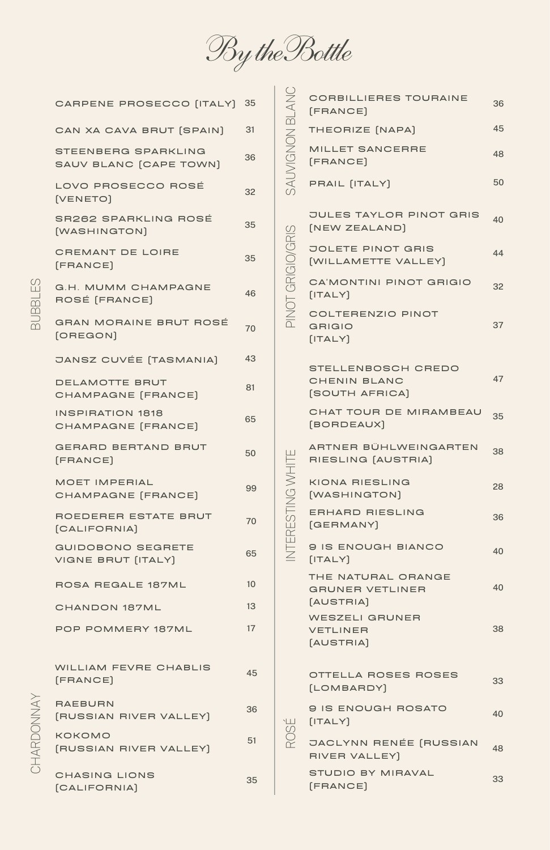

| CARPENE PROSECCO [ITALY] 35                          |    |
|------------------------------------------------------|----|
| CAN XA CAVA BRUT [SPAIN]                             | 31 |
| <b>STEENBERG SPARKLING</b><br>SAUV BLANC [CAPE TOWN] | 36 |
| LOVO PROSECCO ROSÉ<br>[VENETO]                       | 32 |
| SR262 SPARKLING ROSÉ<br>[WASHINGTON]                 | 35 |
| <b>CREMANT DE LOIRE</b><br>[FRANCE]                  | 35 |
| G.H. MUMM CHAMPAGNE<br>ROSÉ [FRANCE]                 | 46 |
| <b>GRAN MORAINE BRUT ROSÉ</b><br>[OREGON]            | 70 |
| <b>JANSZ CUVÉE [TASMANIA]</b>                        | 43 |
| DELAMOTTE BRUT<br>CHAMPAGNE [FRANCE]                 | 81 |
| <b>INSPIRATION 1818</b><br>CHAMPAGNE [FRANCE]        | 65 |
| <b>GERARD BERTAND BRUT</b><br>[FRANCE]               | 50 |
| <b>MOET IMPERIAL</b><br>CHAMPAGNE [FRANCE]           | 99 |
| ROEDERER ESTATE BRUT<br>[CALIFORNIA]                 | 70 |
| <b>GUIDOBONO SEGRETE</b><br>VIGNE BRUT [ITALY]       | 65 |
| ROSA REGALE 187ML                                    | 10 |
| <b>CHANDON 187ML</b>                                 | 13 |

|                  | <b>CORBILLIERES TOURAINE</b><br>[FRANCE]                    | 36 |
|------------------|-------------------------------------------------------------|----|
|                  | THEORIZE [NAPA]                                             | 45 |
| SAUVIGNON BLANC  | <b>MILLET SANCERRE</b><br>[FRANCE]                          | 48 |
|                  | PRAIL [ITALY]                                               | 50 |
| $\mathcal{C}$    | <b>JULES TAYLOR PINOT GRIS</b><br>[NEW ZEALAND]             | 40 |
| PINOT GRIGIO/GRI | <b>JOLETE PINOT GRIS</b><br>[WILLAMETTE VALLEY]             | 44 |
|                  | CA'MONTINI PINOT GRIGIO<br>[ITALY]                          | 32 |
|                  | <b>COLTERENZIO PINOT</b><br><b>GRIGIO</b><br>[ITALY]        | 37 |
|                  | STELLENBOSCH CREDO<br><b>CHENIN BLANC</b><br>[SOUTH AFRICA] | 47 |
|                  |                                                             |    |
|                  | CHAT TOUR DE MIRAMBEAU<br>[BORDEAUX]                        | 35 |
|                  | ARTNER BÜHLWEINGARTEN<br>RIESLING [AUSTRIA]                 | 38 |
|                  | <b>KIONA RIESLING</b><br>[WASHINGTON]                       | 28 |
|                  | <b>ERHARD RIESLING</b><br>[GERMANY]                         | 36 |
| NTERESTING WHITE | 9 IS ENOUGH BIANCO<br>[ITALY]                               | 40 |
|                  | THE NATURAL ORANGE<br><b>GRUNER VETLINER</b><br>[AUSTRIA]   | 40 |

## $\varpi$  $\Box$  $\varpi$  $\varpi$  $\equiv$  $\sqcup$ M

|                       | POP POMMERY 187ML                        | 17 |                    | <b>VETLINER</b><br>[AUSTRIA]                   | 38 |
|-----------------------|------------------------------------------|----|--------------------|------------------------------------------------|----|
|                       | <b>WILLIAM FEVRE CHABLIS</b><br>[FRANCE] | 45 |                    | <b>OTTELLA ROSES ROSES</b><br>[LOMBARDY]       | 33 |
| <b>NNOC</b>           | <b>RAEBURN</b><br>[RUSSIAN RIVER VALLEY] | 36 | $\perp$<br>$\circ$ | 9 IS ENOUGH ROSATO<br>[ITALY]                  | 40 |
| ARI                   | <b>KOKOMO</b><br>[RUSSIAN RIVER VALLEY]  | 51 |                    | <b>JACLYNN RENÉE [RUSSIAN</b><br>RIVER VALLEY) | 48 |
| $\overline{\bigcirc}$ | <b>CHASING LIONS</b><br>[CALIFORNIA]     | 35 |                    | STUDIO BY MIRAVAL<br>[FRANCE]                  | 33 |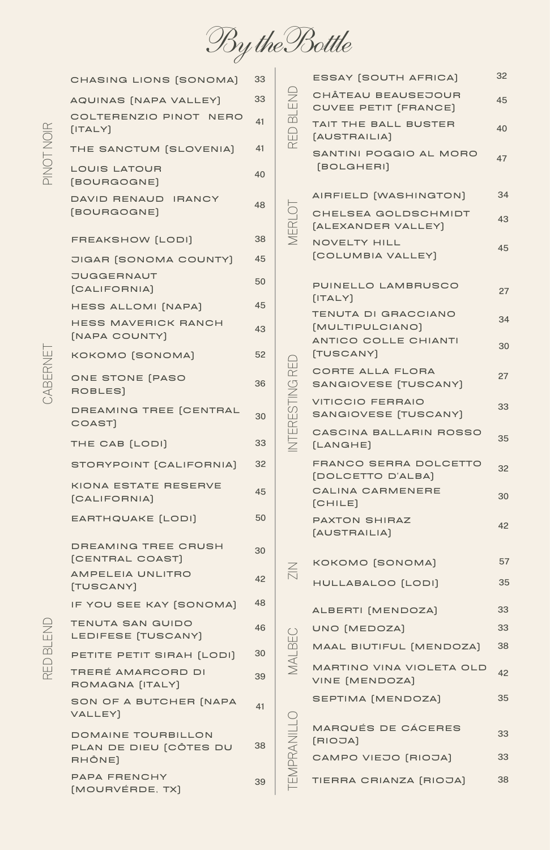By the Bottle

| 45<br>40<br>47<br>34<br>43<br>45<br>27<br>34<br>30 |
|----------------------------------------------------|
|                                                    |
|                                                    |
|                                                    |
|                                                    |
|                                                    |
|                                                    |
|                                                    |
|                                                    |
|                                                    |
|                                                    |
|                                                    |
|                                                    |
| 27                                                 |
| 33                                                 |
| CASCINA BALLARIN ROSSO<br>35                       |
| FRANCO SERRA DOLCETTO                              |
| 32                                                 |
| 30                                                 |
| 42                                                 |
|                                                    |
| 57                                                 |
| 35                                                 |
| 33                                                 |
| 33                                                 |
| 38<br>MAAL BIUTIFUL [MENDOZA]                      |
| MARTINO VINA VIOLETA OLD<br>42                     |
|                                                    |
| 35                                                 |
| 33                                                 |
| 33                                                 |
| 38                                                 |
|                                                    |

 $\bigcirc$  $\vdash$  $\boldsymbol{\mathcal{Z}}$ 

> $\triangleleft$  $\subsetfty$  $\Box$  $\hspace{.1in}$   $\hspace{.1in}$ N $\sqcup$  $\vdash$